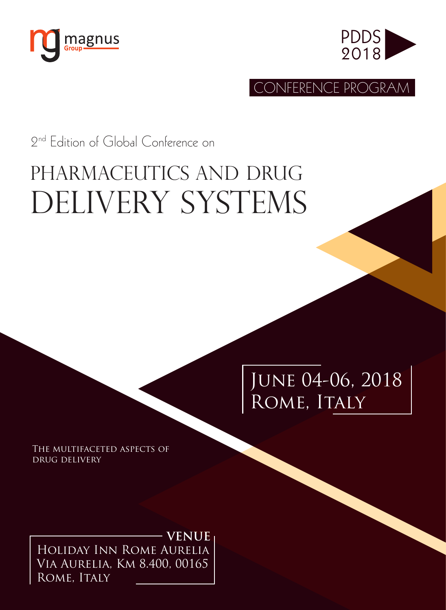



CONFERENCE PROGRAM

2nd Edition of Global Conference on

# Pharmaceutics and Drug DELIVERY SYSTEMS

June 04-06, 2018 ROME, ITALY

THE MULTIFACETED ASPECTS OF drug delivery

Holiday Inn Rome Aurelia Via Aurelia, Km 8.400, 00165 ROME, ITALY **VENUE**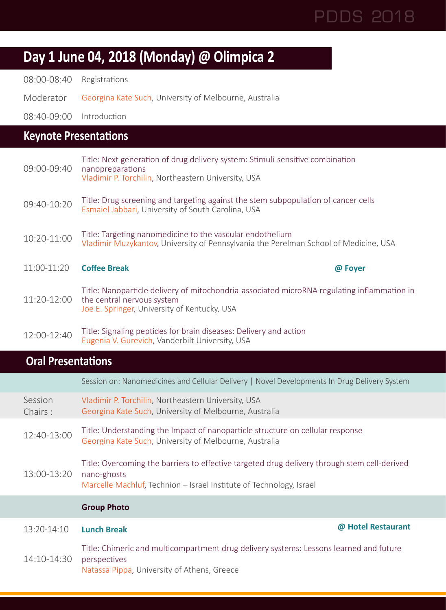## **Day 1 June 04, 2018 (Monday) @ Olimpica 2**

08:00-08:40 Registrations

Moderator Georgina Kate Such, University of Melbourne, Australia

08:40-09:00 Introduction

### **Keynote Presentations**

| 09:00-09:40 | Title: Next generation of drug delivery system: Stimuli-sensitive combination<br>nanopreparations<br>Vladimir P. Torchilin, Northeastern University, USA                  |         |
|-------------|---------------------------------------------------------------------------------------------------------------------------------------------------------------------------|---------|
| 09:40-10:20 | Title: Drug screening and targeting against the stem subpopulation of cancer cells<br>Esmaiel Jabbari, University of South Carolina, USA                                  |         |
| 10:20-11:00 | Title: Targeting nanomedicine to the vascular endothelium<br>Vladimir Muzykantov, University of Pennsylvania the Perelman School of Medicine, USA                         |         |
| 11:00-11:20 | <b>Coffee Break</b>                                                                                                                                                       | @ Foyer |
| 11:20-12:00 | Title: Nanoparticle delivery of mitochondria-associated microRNA regulating inflammation in<br>the central nervous system<br>Joe E. Springer, University of Kentucky, USA |         |
| 12:00-12:40 | Title: Signaling peptides for brain diseases: Delivery and action                                                                                                         |         |

|                    | Session on: Nanomedicines and Cellular Delivery   Novel Developments In Drug Delivery System                                                                                       |
|--------------------|------------------------------------------------------------------------------------------------------------------------------------------------------------------------------------|
| Session<br>Chairs: | Vladimir P. Torchilin, Northeastern University, USA<br>Georgina Kate Such, University of Melbourne, Australia                                                                      |
| 12:40-13:00        | Title: Understanding the Impact of nanoparticle structure on cellular response<br>Georgina Kate Such, University of Melbourne, Australia                                           |
| 13:00-13:20        | Title: Overcoming the barriers to effective targeted drug delivery through stem cell-derived<br>nano-ghosts<br>Marcelle Machluf, Technion – Israel Institute of Technology, Israel |
|                    | <b>Group Photo</b>                                                                                                                                                                 |
| 13:20-14:10        | @ Hotel Restaurant<br><b>Lunch Break</b>                                                                                                                                           |
| 14:10-14:30        | Title: Chimeric and multicompartment drug delivery systems: Lessons learned and future<br>perspectives<br>Natassa Pippa, University of Athens, Greece                              |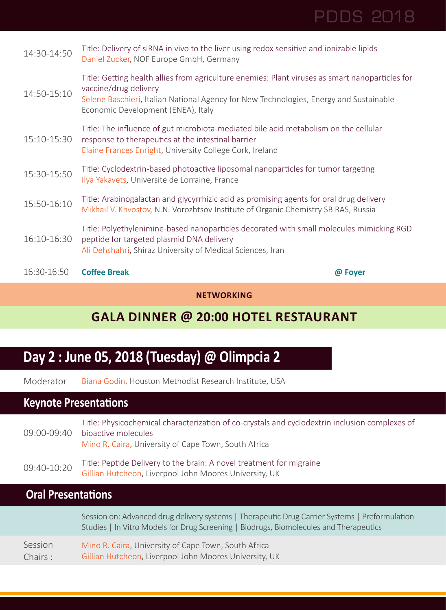|                            | Mikhail V. Khvostov, N.N. Vorozhtsov Institute of Organic Chemistry SB RAS, Russia<br>Title: Polyethylenimine-based nanoparticles decorated with small molecules mimicking RGD                                                                           |  |
|----------------------------|----------------------------------------------------------------------------------------------------------------------------------------------------------------------------------------------------------------------------------------------------------|--|
| 15:30-15:50<br>15:50-16:10 | Ilya Yakavets, Universite de Lorraine, France<br>Title: Arabinogalactan and glycyrrhizic acid as promising agents for oral drug delivery                                                                                                                 |  |
|                            | Title: Cyclodextrin-based photoactive liposomal nanoparticles for tumor targeting                                                                                                                                                                        |  |
| 15:10-15:30                | Title: The influence of gut microbiota-mediated bile acid metabolism on the cellular<br>response to therapeutics at the intestinal barrier<br>Elaine Frances Enright, University College Cork, Ireland                                                   |  |
| 14:50-15:10                | Title: Getting health allies from agriculture enemies: Plant viruses as smart nanoparticles for<br>vaccine/drug delivery<br>Selene Baschieri, Italian National Agency for New Technologies, Energy and Sustainable<br>Economic Development (ENEA), Italy |  |
| 14:30-14:50                | Title: Delivery of siRNA in vivo to the liver using redox sensitive and ionizable lipids<br>Daniel Zucker, NOF Europe GmbH, Germany                                                                                                                      |  |

#### **NETWORKING**

### **GALA DINNER @ 20:00 HOTEL RESTAURANT**

## **Day 2 : June 05, 2018 (Tuesday) @ Olimpcia 2**

Moderator Biana Godin, Houston Methodist Research Institute, USA

### **Keynote Presentations**

| 09:00-09:40 | Title: Physicochemical characterization of co-crystals and cyclodextrin inclusion complexes of<br>bioactive molecules<br>Mino R. Caira, University of Cape Town, South Africa |
|-------------|-------------------------------------------------------------------------------------------------------------------------------------------------------------------------------|
| 09:40-10:20 | Title: Peptide Delivery to the brain: A novel treatment for migraine<br>Gillian Hutcheon, Liverpool John Moores University, UK                                                |

|         | Session on: Advanced drug delivery systems   Therapeutic Drug Carrier Systems   Preformulation<br>Studies   In Vitro Models for Drug Screening   Biodrugs, Biomolecules and Therapeutics |
|---------|------------------------------------------------------------------------------------------------------------------------------------------------------------------------------------------|
| Session | Mino R. Caira, University of Cape Town, South Africa                                                                                                                                     |
| Chairs: | Gillian Hutcheon, Liverpool John Moores University, UK                                                                                                                                   |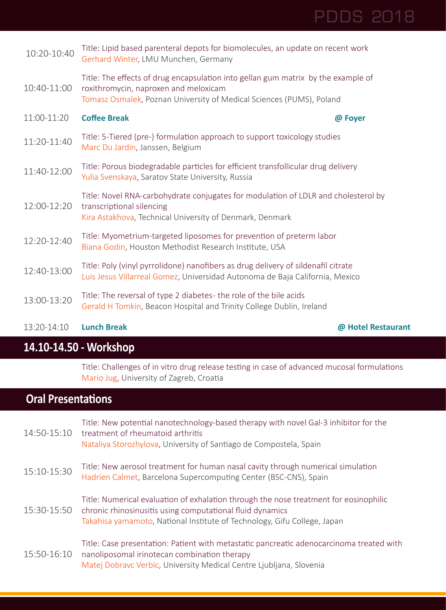### 10:20-10:40 Title: Lipid based parenteral depots for biomolecules, an update on recent work Gerhard Winter, LMU Munchen, Germany 10:40-11:00 roxithromycin, naproxen and meloxicam Title: The effects of drug encapsulation into gellan gum matrix by the example of Tomasz Osmalek, Poznan University of Medical Sciences (PUMS), Poland 11:00-11:20 **Coffee Break @ Foyer** 11:20-11:40 Title: 5-Tiered (pre-) formulation approach to support toxicology studies Marc Du Jardin, Janssen, Belgium 11:40-12:00 Title: Porous biodegradable particles for efficient transfollicular drug delivery Yulia Svenskaya, Saratov State University, Russia 12:00-12:20 Title: Novel RNA-carbohydrate conjugates for modulation of LDLR and cholesterol by transcriptional silencing Kira Astakhova, Technical University of Denmark, Denmark 12:20-12:40 Title: Myometrium-targeted liposomes for prevention of preterm labor Biana Godin, Houston Methodist Research Institute, USA 12:40-13:00 Title: Poly (vinyl pyrrolidone) nanofibers as drug delivery of sildenafil citrate Luis Jesus Villarreal Gomez, Universidad Autonoma de Baja California, Mexico 13:00-13:20 Title: The reversal of type 2 diabetes - the role of the bile acids Gerald H Tomkin, Beacon Hospital and Trinity College Dublin, Ireland

PDDS 2018

#### 13:20-14:10 **Lunch Break @ Hotel Restaurant**

#### **14.10-14.50 - Workshop**

Title: Challenges of in vitro drug release testing in case of advanced mucosal formulations Mario Jug, University of Zagreb, Croatia

| 14:50-15:10 | Title: New potential nanotechnology-based therapy with novel Gal-3 inhibitor for the<br>treatment of rheumatoid arthritis<br>Nataliya Storozhylova, University of Santiago de Compostela, Spain                                |
|-------------|--------------------------------------------------------------------------------------------------------------------------------------------------------------------------------------------------------------------------------|
| 15:10-15:30 | Title: New aerosol treatment for human nasal cavity through numerical simulation<br>Hadrien Calmet, Barcelona Supercomputing Center (BSC-CNS), Spain                                                                           |
| 15:30-15:50 | Title: Numerical evaluation of exhalation through the nose treatment for eosinophilic<br>chronic rhinosinusitis using computational fluid dynamics<br>Takahisa yamamoto, National Institute of Technology, Gifu College, Japan |
| 15:50-16:10 | Title: Case presentation: Patient with metastatic pancreatic adenocarcinoma treated with<br>nanoliposomal irinotecan combination therapy<br>Matej Dobravc Verbic, University Medical Centre Ljubljana, Slovenia                |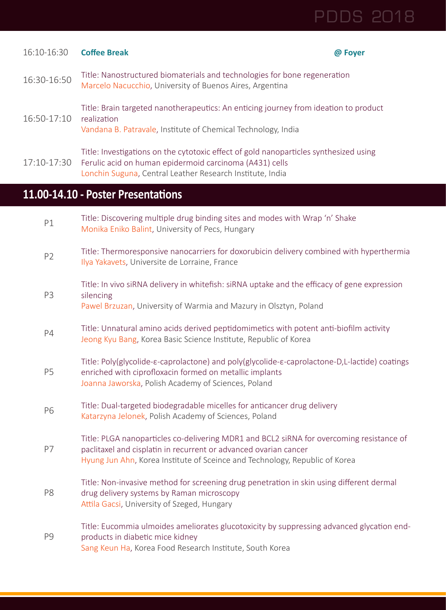| 16:10-16:30    | <b>Coffee Break</b>                                                                                                                                                                                                                         | @ Foyer |
|----------------|---------------------------------------------------------------------------------------------------------------------------------------------------------------------------------------------------------------------------------------------|---------|
| 16:30-16:50    | Title: Nanostructured biomaterials and technologies for bone regeneration<br>Marcelo Nacucchio, University of Buenos Aires, Argentina                                                                                                       |         |
| 16:50-17:10    | Title: Brain targeted nanotherapeutics: An enticing journey from ideation to product<br>realization<br>Vandana B. Patravale, Institute of Chemical Technology, India                                                                        |         |
| 17:10-17:30    | Title: Investigations on the cytotoxic effect of gold nanoparticles synthesized using<br>Ferulic acid on human epidermoid carcinoma (A431) cells<br>Lonchin Suguna, Central Leather Research Institute, India                               |         |
|                | 11.00-14.10 - Poster Presentations                                                                                                                                                                                                          |         |
| P1             | Title: Discovering multiple drug binding sites and modes with Wrap 'n' Shake<br>Monika Eniko Balint, University of Pecs, Hungary                                                                                                            |         |
| P <sub>2</sub> | Title: Thermoresponsive nanocarriers for doxorubicin delivery combined with hyperthermia<br>Ilya Yakavets, Universite de Lorraine, France                                                                                                   |         |
| P <sub>3</sub> | Title: In vivo siRNA delivery in whitefish: siRNA uptake and the efficacy of gene expression<br>silencing<br>Pawel Brzuzan, University of Warmia and Mazury in Olsztyn, Poland                                                              |         |
| P4             | Title: Unnatural amino acids derived peptidomimetics with potent anti-biofilm activity<br>Jeong Kyu Bang, Korea Basic Science Institute, Republic of Korea                                                                                  |         |
| P5             | Title: Poly(glycolide-ε-caprolactone) and poly(glycolide-ε-caprolactone-D,L-lactide) coatings<br>enriched with ciprofloxacin formed on metallic implants<br>Joanna Jaworska, Polish Academy of Sciences, Poland                             |         |
| P6             | Title: Dual-targeted biodegradable micelles for anticancer drug delivery<br>Katarzyna Jelonek, Polish Academy of Sciences, Poland                                                                                                           |         |
| P7             | Title: PLGA nanoparticles co-delivering MDR1 and BCL2 siRNA for overcoming resistance of<br>paclitaxel and cisplatin in recurrent or advanced ovarian cancer<br>Hyung Jun Ahn, Korea Institute of Sceince and Technology, Republic of Korea |         |
| P8             | Title: Non-invasive method for screening drug penetration in skin using different dermal<br>drug delivery systems by Raman microscopy<br>Attila Gacsi, University of Szeged, Hungary                                                        |         |
| P9             | Title: Eucommia ulmoides ameliorates glucotoxicity by suppressing advanced glycation end-<br>products in diabetic mice kidney<br>Sang Keun Ha, Korea Food Research Institute, South Korea                                                   |         |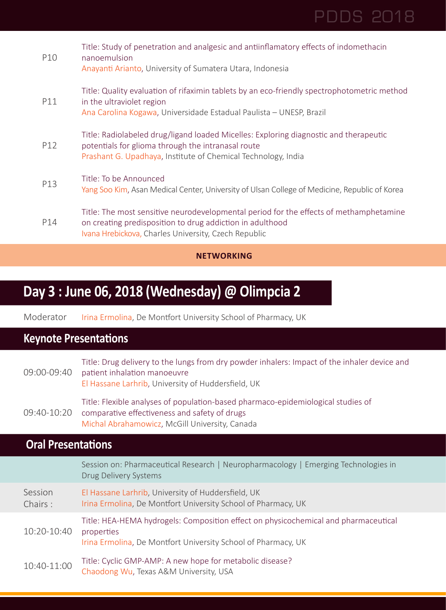|     | <b>NETWORKING</b>                                                                                                                                                                                            |
|-----|--------------------------------------------------------------------------------------------------------------------------------------------------------------------------------------------------------------|
| P14 | Title: The most sensitive neurodevelopmental period for the effects of methamphetamine<br>on creating predisposition to drug addiction in adulthood<br>Ivana Hrebickova, Charles University, Czech Republic  |
| P13 | Title: To be Announced<br>Yang Soo Kim, Asan Medical Center, University of Ulsan College of Medicine, Republic of Korea                                                                                      |
| P12 | Title: Radiolabeled drug/ligand loaded Micelles: Exploring diagnostic and therapeutic<br>potentials for glioma through the intranasal route<br>Prashant G. Upadhaya, Institute of Chemical Technology, India |
| P11 | Title: Quality evaluation of rifaximin tablets by an eco-friendly spectrophotometric method<br>in the ultraviolet region<br>Ana Carolina Kogawa, Universidade Estadual Paulista - UNESP, Brazil              |
| P10 | Title: Study of penetration and analgesic and antiinflamatory effects of indomethacin<br>nanoemulsion<br>Anayanti Arianto, University of Sumatera Utara, Indonesia                                           |

## **Day 3 : June 06, 2018 (Wednesday) @ Olimpcia 2**

Moderator Irina Ermolina, De Montfort University School of Pharmacy, UK

### **Keynote Presentations**

| 09:00-09:40 | Title: Drug delivery to the lungs from dry powder inhalers: Impact of the inhaler device and<br>patient inhalation manoeuvre<br>El Hassane Larhrib, University of Huddersfield, UK  |
|-------------|-------------------------------------------------------------------------------------------------------------------------------------------------------------------------------------|
| 09:40-10:20 | Title: Flexible analyses of population-based pharmaco-epidemiological studies of<br>comparative effectiveness and safety of drugs<br>Michal Abrahamowicz, McGill University, Canada |

|                    | Session on: Pharmaceutical Research   Neuropharmacology   Emerging Technologies in<br>Drug Delivery Systems                                                        |
|--------------------|--------------------------------------------------------------------------------------------------------------------------------------------------------------------|
| Session<br>Chairs: | El Hassane Larhrib, University of Huddersfield, UK<br>Irina Ermolina, De Montfort University School of Pharmacy, UK                                                |
| 10:20-10:40        | Title: HEA-HEMA hydrogels: Composition effect on physicochemical and pharmaceutical<br>properties<br>Irina Ermolina, De Montfort University School of Pharmacy, UK |
| 10:40-11:00        | Title: Cyclic GMP-AMP: A new hope for metabolic disease?<br>Chaodong Wu, Texas A&M University, USA                                                                 |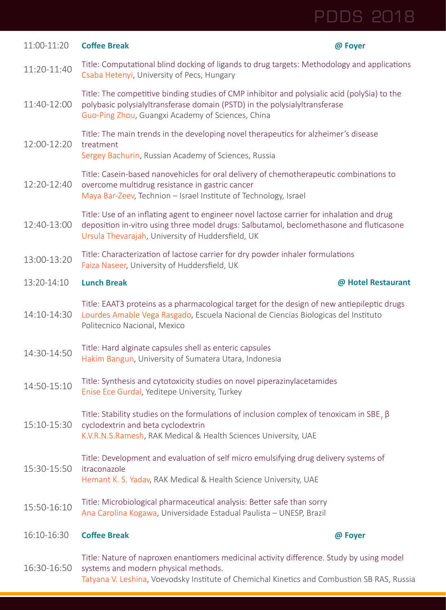| 11:00-11:20 | <b>Coffee Break</b>                                                                                                                                                                                                                        | @ Foyer            |
|-------------|--------------------------------------------------------------------------------------------------------------------------------------------------------------------------------------------------------------------------------------------|--------------------|
| 11:20-11:40 | Title: Computational blind docking of ligands to drug targets: Methodology and applications<br>Csaba Hetenyi, University of Pecs, Hungary                                                                                                  |                    |
| 11:40-12:00 | Title: The competitive binding studies of CMP inhibitor and polysialic acid (polySia) to the<br>polybasic polysialyltransferase domain (PSTD) in the polysialyltransferase<br>Guo-Ping Zhou, Guangxi Academy of Sciences, China            |                    |
| 12:00-12:20 | Title: The main trends in the developing novel therapeutics for alzheimer's disease<br>treatment<br>Sergey Bachurin, Russian Academy of Sciences, Russia                                                                                   |                    |
| 12:20-12:40 | Title: Casein-based nanovehicles for oral delivery of chemotherapeutic combinations to<br>overcome multidrug resistance in gastric cancer<br>Maya Bar-Zeev, Technion - Israel Institute of Technology, Israel                              |                    |
| 12:40-13:00 | Title: Use of an inflating agent to engineer novel lactose carrier for inhalation and drug<br>deposition in-vitro using three model drugs: Salbutamol, beclomethasone and fluticasone<br>Ursula Thevarajah, University of Huddersfield, UK |                    |
| 13:00-13:20 | Title: Characterization of lactose carrier for dry powder inhaler formulations<br>Faiza Naseer, University of Huddersfield, UK                                                                                                             |                    |
| 13:20-14:10 | <b>Lunch Break</b>                                                                                                                                                                                                                         | @ Hotel Restaurant |
| 14:10-14:30 | Title: EAAT3 proteins as a pharmacological target for the design of new antiepileptic drugs<br>Lourdes Amable Vega Rasgado, Escuela Nacional de Ciencias Biologicas del Instituto<br>Politecnico Nacional, Mexico                          |                    |
| 14:30-14:50 | Title: Hard alginate capsules shell as enteric capsules<br>Hakim Bangun, University of Sumatera Utara, Indonesia                                                                                                                           |                    |
| 14:50-15:10 | Title: Synthesis and cytotoxicity studies on novel piperazinylacetamides<br>Enise Ece Gurdal, Yeditepe University, Turkey                                                                                                                  |                    |
| 15:10-15:30 | Title: Stability studies on the formulations of inclusion complex of tenoxicam in SBE, $\beta$<br>cyclodextrin and beta cyclodextrin<br>K.V.R.N.S.Ramesh, RAK Medical & Health Sciences University, UAE                                    |                    |
| 15:30-15:50 | Title: Development and evaluation of self micro emulsifying drug delivery systems of<br>itraconazole<br>Hemant K. S. Yadav, RAK Medical & Health Science University, UAE                                                                   |                    |
| 15:50-16:10 | Title: Microbiological pharmaceutical analysis: Better safe than sorry<br>Ana Carolina Kogawa, Universidade Estadual Paulista - UNESP, Brazil                                                                                              |                    |
| 16:10-16:30 | <b>Coffee Break</b>                                                                                                                                                                                                                        | @ Foyer            |
| 16:30-16:50 | Title: Nature of naproxen enantiomers medicinal activity difference. Study by using model<br>systems and modern physical methods.<br>Tatyana V. Leshina, Voevodsky Institute of Chemichal Kinetics and Combustion SB RAS, Russia           |                    |